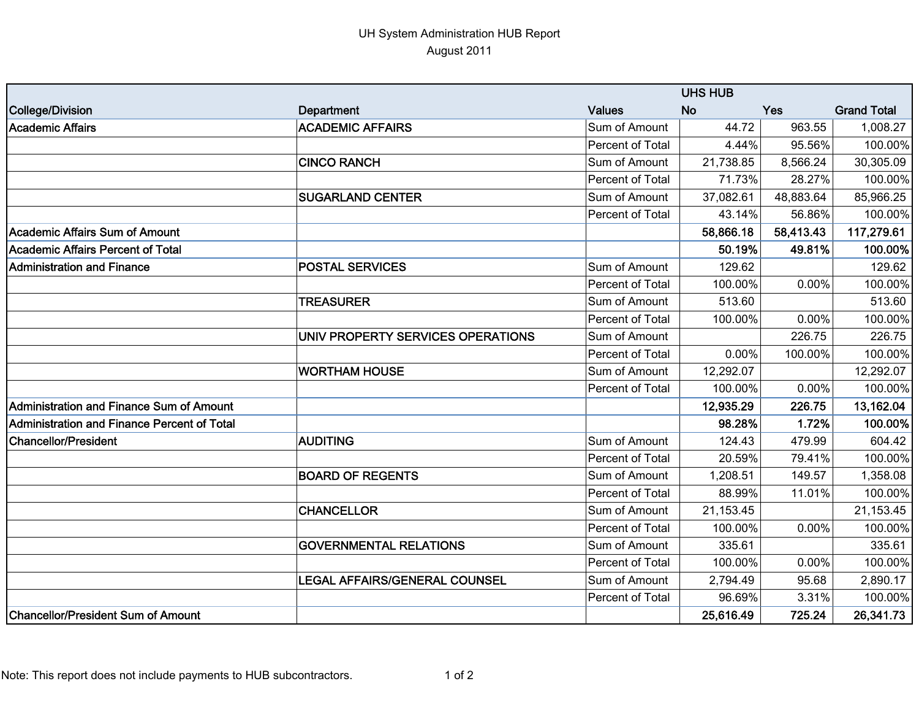## UH System Administration HUB Report August 2011

|                                             |                                      | <b>UHS HUB</b>   |           |            |                    |
|---------------------------------------------|--------------------------------------|------------------|-----------|------------|--------------------|
| College/Division                            | Department                           | <b>Values</b>    | <b>No</b> | <b>Yes</b> | <b>Grand Total</b> |
| <b>Academic Affairs</b>                     | <b>ACADEMIC AFFAIRS</b>              | Sum of Amount    | 44.72     | 963.55     | 1,008.27           |
|                                             |                                      | Percent of Total | 4.44%     | 95.56%     | 100.00%            |
|                                             | <b>CINCO RANCH</b>                   | Sum of Amount    | 21,738.85 | 8,566.24   | 30,305.09          |
|                                             |                                      | Percent of Total | 71.73%    | 28.27%     | 100.00%            |
|                                             | <b>SUGARLAND CENTER</b>              | Sum of Amount    | 37,082.61 | 48,883.64  | 85,966.25          |
|                                             |                                      | Percent of Total | 43.14%    | 56.86%     | 100.00%            |
| Academic Affairs Sum of Amount              |                                      |                  | 58,866.18 | 58,413.43  | 117,279.61         |
| Academic Affairs Percent of Total           |                                      |                  | 50.19%    | 49.81%     | 100.00%            |
| <b>Administration and Finance</b>           | <b>POSTAL SERVICES</b>               | Sum of Amount    | 129.62    |            | 129.62             |
|                                             |                                      | Percent of Total | 100.00%   | 0.00%      | 100.00%            |
|                                             | <b>TREASURER</b>                     | Sum of Amount    | 513.60    |            | 513.60             |
|                                             |                                      | Percent of Total | 100.00%   | 0.00%      | 100.00%            |
|                                             | UNIV PROPERTY SERVICES OPERATIONS    | Sum of Amount    |           | 226.75     | 226.75             |
|                                             |                                      | Percent of Total | 0.00%     | 100.00%    | 100.00%            |
|                                             | <b>WORTHAM HOUSE</b>                 | Sum of Amount    | 12,292.07 |            | 12,292.07          |
|                                             |                                      | Percent of Total | 100.00%   | 0.00%      | 100.00%            |
| Administration and Finance Sum of Amount    |                                      |                  | 12,935.29 | 226.75     | 13,162.04          |
| Administration and Finance Percent of Total |                                      |                  | 98.28%    | 1.72%      | 100.00%            |
| <b>Chancellor/President</b>                 | <b>AUDITING</b>                      | Sum of Amount    | 124.43    | 479.99     | 604.42             |
|                                             |                                      | Percent of Total | 20.59%    | 79.41%     | 100.00%            |
|                                             | <b>BOARD OF REGENTS</b>              | Sum of Amount    | 1,208.51  | 149.57     | 1,358.08           |
|                                             |                                      | Percent of Total | 88.99%    | 11.01%     | 100.00%            |
|                                             | <b>CHANCELLOR</b>                    | Sum of Amount    | 21,153.45 |            | 21,153.45          |
|                                             |                                      | Percent of Total | 100.00%   | 0.00%      | 100.00%            |
|                                             | <b>GOVERNMENTAL RELATIONS</b>        | Sum of Amount    | 335.61    |            | 335.61             |
|                                             |                                      | Percent of Total | 100.00%   | 0.00%      | 100.00%            |
|                                             | <b>LEGAL AFFAIRS/GENERAL COUNSEL</b> | Sum of Amount    | 2,794.49  | 95.68      | 2,890.17           |
|                                             |                                      | Percent of Total | 96.69%    | 3.31%      | 100.00%            |
| <b>Chancellor/President Sum of Amount</b>   |                                      |                  | 25,616.49 | 725.24     | 26,341.73          |